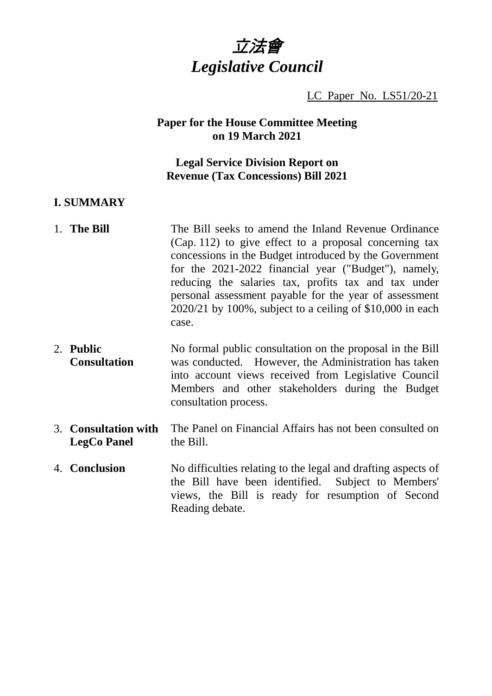

LC Paper No. LS51/20-21

# **Paper for the House Committee Meeting on 19 March 2021**

# **Legal Service Division Report on Revenue (Tax Concessions) Bill 2021**

#### **I. SUMMARY**

- 1. **The Bill** The Bill seeks to amend the Inland Revenue Ordinance (Cap. 112) to give effect to a proposal concerning tax concessions in the Budget introduced by the Government for the 2021-2022 financial year ("Budget"), namely, reducing the salaries tax, profits tax and tax under personal assessment payable for the year of assessment 2020/21 by 100%, subject to a ceiling of \$10,000 in each case.
- 2. **Public Consultation** No formal public consultation on the proposal in the Bill was conducted. However, the Administration has taken into account views received from Legislative Council Members and other stakeholders during the Budget consultation process.
- 3. **Consultation with LegCo Panel** The Panel on Financial Affairs has not been consulted on the Bill.
- 4. **Conclusion** No difficulties relating to the legal and drafting aspects of the Bill have been identified. Subject to Members' views, the Bill is ready for resumption of Second Reading debate.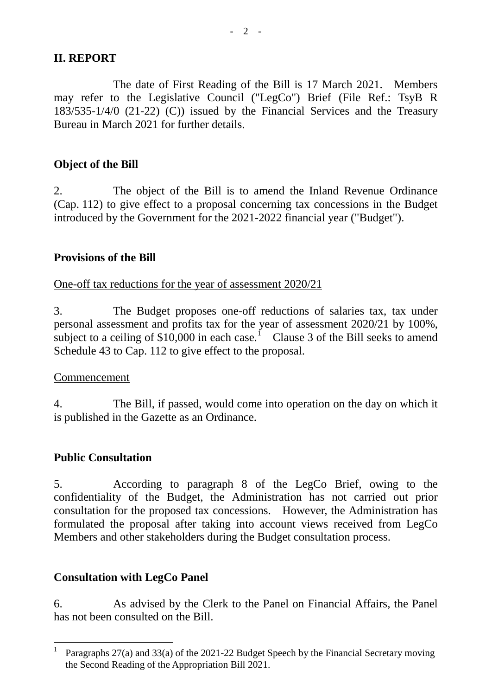# **II. REPORT**

The date of First Reading of the Bill is 17 March 2021. Members may refer to the Legislative Council ("LegCo") Brief (File Ref.: TsyB R 183/535-1/4/0 (21-22) (C)) issued by the Financial Services and the Treasury Bureau in March 2021 for further details.

# **Object of the Bill**

2. The object of the Bill is to amend the Inland Revenue Ordinance (Cap. 112) to give effect to a proposal concerning tax concessions in the Budget introduced by the Government for the 2021-2022 financial year ("Budget").

# **Provisions of the Bill**

#### One-off tax reductions for the year of assessment 2020/21

3. The Budget proposes one-off reductions of salaries tax, tax under personal assessment and profits tax for the year of assessment 2020/21 by 100%, subject to a ceiling of  $$10,000$  $$10,000$  $$10,000$  in each case.<sup>1</sup> Clause 3 of the Bill seeks to amend Schedule 43 to Cap. 112 to give effect to the proposal.

# Commencement

4. The Bill, if passed, would come into operation on the day on which it is published in the Gazette as an Ordinance.

# **Public Consultation**

5. According to paragraph 8 of the LegCo Brief, owing to the confidentiality of the Budget, the Administration has not carried out prior consultation for the proposed tax concessions. However, the Administration has formulated the proposal after taking into account views received from LegCo Members and other stakeholders during the Budget consultation process.

# **Consultation with LegCo Panel**

6. As advised by the Clerk to the Panel on Financial Affairs, the Panel has not been consulted on the Bill.

<span id="page-1-0"></span><sup>&</sup>lt;sup>1</sup> Paragraphs 27(a) and 33(a) of the 2021-22 Budget Speech by the Financial Secretary moving the Second Reading of the Appropriation Bill 2021.